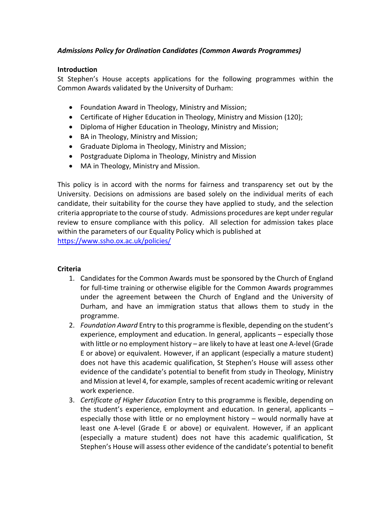# *Admissions Policy for Ordination Candidates (Common Awards Programmes)*

#### **Introduction**

St Stephen's House accepts applications for the following programmes within the Common Awards validated by the University of Durham:

- Foundation Award in Theology, Ministry and Mission;
- Certificate of Higher Education in Theology, Ministry and Mission (120);
- Diploma of Higher Education in Theology, Ministry and Mission;
- BA in Theology, Ministry and Mission;
- Graduate Diploma in Theology, Ministry and Mission;
- Postgraduate Diploma in Theology, Ministry and Mission
- MA in Theology, Ministry and Mission.

This policy is in accord with the norms for fairness and transparency set out by the University. Decisions on admissions are based solely on the individual merits of each candidate, their suitability for the course they have applied to study, and the selection criteria appropriate to the course of study. Admissions procedures are kept under regular review to ensure compliance with this policy. All selection for admission takes place within the parameters of our Equality Policy which is published at

<https://www.ssho.ox.ac.uk/policies/>

### **Criteria**

- 1. Candidates for the Common Awards must be sponsored by the Church of England for full-time training or otherwise eligible for the Common Awards programmes under the agreement between the Church of England and the University of Durham, and have an immigration status that allows them to study in the programme.
- 2. *Foundation Award* Entry to this programme is flexible, depending on the student's experience, employment and education. In general, applicants – especially those with little or no employment history – are likely to have at least one A-level (Grade E or above) or equivalent. However, if an applicant (especially a mature student) does not have this academic qualification, St Stephen's House will assess other evidence of the candidate's potential to benefit from study in Theology, Ministry and Mission at level 4, for example, samples of recent academic writing or relevant work experience.
- 3. *Certificate of Higher Education* Entry to this programme is flexible, depending on the student's experience, employment and education. In general, applicants – especially those with little or no employment history – would normally have at least one A-level (Grade E or above) or equivalent. However, if an applicant (especially a mature student) does not have this academic qualification, St Stephen's House will assess other evidence of the candidate's potential to benefit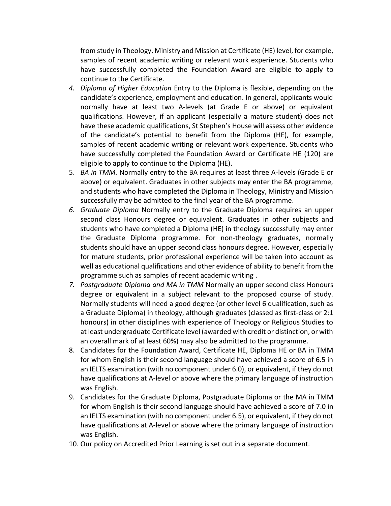from study in Theology, Ministry and Mission at Certificate (HE) level, for example, samples of recent academic writing or relevant work experience. Students who have successfully completed the Foundation Award are eligible to apply to continue to the Certificate.

- *4. Diploma of Higher Education* Entry to the Diploma is flexible, depending on the candidate's experience, employment and education. In general, applicants would normally have at least two A-levels (at Grade E or above) or equivalent qualifications. However, if an applicant (especially a mature student) does not have these academic qualifications, St Stephen's House will assess other evidence of the candidate's potential to benefit from the Diploma (HE), for example, samples of recent academic writing or relevant work experience. Students who have successfully completed the Foundation Award or Certificate HE (120) are eligible to apply to continue to the Diploma (HE).
- 5. *BA in TMM.* Normally entry to the BA requires at least three A-levels (Grade E or above) or equivalent. Graduates in other subjects may enter the BA programme, and students who have completed the Diploma in Theology, Ministry and Mission successfully may be admitted to the final year of the BA programme.
- *6. Graduate Diploma* Normally entry to the Graduate Diploma requires an upper second class Honours degree or equivalent. Graduates in other subjects and students who have completed a Diploma (HE) in theology successfully may enter the Graduate Diploma programme. For non-theology graduates, normally students should have an upper second class honours degree. However, especially for mature students, prior professional experience will be taken into account as well as educational qualifications and other evidence of ability to benefit from the programme such as samples of recent academic writing .
- *7. Postgraduate Diploma and MA in TMM* Normally an upper second class Honours degree or equivalent in a subject relevant to the proposed course of study. Normally students will need a good degree (or other level 6 qualification, such as a Graduate Diploma) in theology, although graduates (classed as first-class or 2:1 honours) in other disciplines with experience of Theology or Religious Studies to at least undergraduate Certificate level (awarded with credit or distinction, or with an overall mark of at least 60%) may also be admitted to the programme.
- 8. Candidates for the Foundation Award, Certificate HE, Diploma HE or BA in TMM for whom English is their second language should have achieved a score of 6.5 in an IELTS examination (with no component under 6.0), or equivalent, if they do not have qualifications at A-level or above where the primary language of instruction was English.
- 9. Candidates for the Graduate Diploma, Postgraduate Diploma or the MA in TMM for whom English is their second language should have achieved a score of 7.0 in an IELTS examination (with no component under 6.5), or equivalent, if they do not have qualifications at A-level or above where the primary language of instruction was English.
- 10. Our policy on Accredited Prior Learning is set out in a separate document.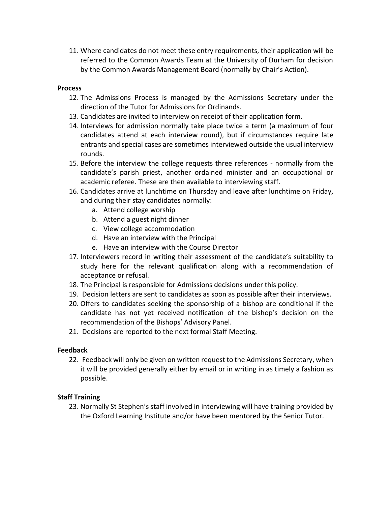11. Where candidates do not meet these entry requirements, their application will be referred to the Common Awards Team at the University of Durham for decision by the Common Awards Management Board (normally by Chair's Action).

### **Process**

- 12. The Admissions Process is managed by the Admissions Secretary under the direction of the Tutor for Admissions for Ordinands.
- 13. Candidates are invited to interview on receipt of their application form.
- 14. Interviews for admission normally take place twice a term (a maximum of four candidates attend at each interview round), but if circumstances require late entrants and special cases are sometimes interviewed outside the usual interview rounds.
- 15. Before the interview the college requests three references normally from the candidate's parish priest, another ordained minister and an occupational or academic referee. These are then available to interviewing staff.
- 16. Candidates arrive at lunchtime on Thursday and leave after lunchtime on Friday, and during their stay candidates normally:
	- a. Attend college worship
	- b. Attend a guest night dinner
	- c. View college accommodation
	- d. Have an interview with the Principal
	- e. Have an interview with the Course Director
- 17. Interviewers record in writing their assessment of the candidate's suitability to study here for the relevant qualification along with a recommendation of acceptance or refusal.
- 18. The Principal is responsible for Admissions decisions under this policy.
- 19. Decision letters are sent to candidates as soon as possible after their interviews.
- 20. Offers to candidates seeking the sponsorship of a bishop are conditional if the candidate has not yet received notification of the bishop's decision on the recommendation of the Bishops' Advisory Panel.
- 21. Decisions are reported to the next formal Staff Meeting.

# **Feedback**

22. Feedback will only be given on written request to the Admissions Secretary, when it will be provided generally either by email or in writing in as timely a fashion as possible.

# **Staff Training**

23. Normally St Stephen's staff involved in interviewing will have training provided by the Oxford Learning Institute and/or have been mentored by the Senior Tutor.